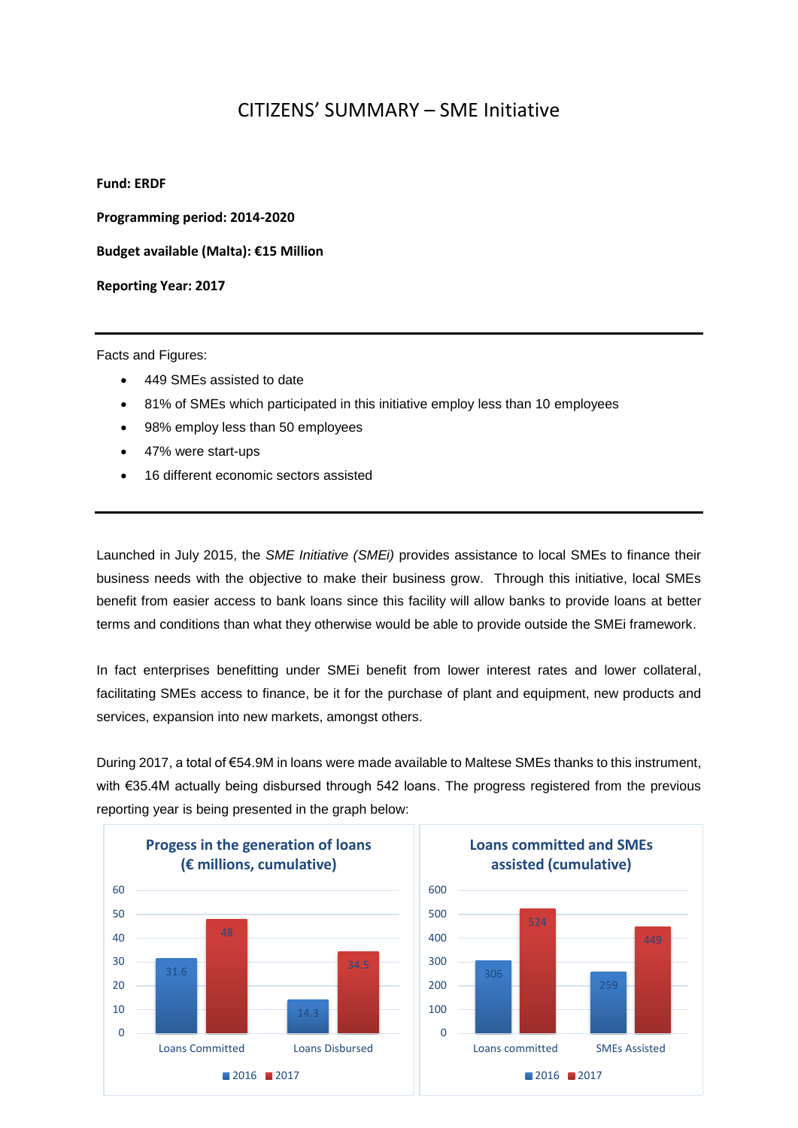## CITIZENS' SUMMARY – SME Initiative

## **Fund: ERDF**

**Programming period: 2014-2020**

**Budget available (Malta): €15 Million** 

**Reporting Year: 2017**

Facts and Figures:

- 449 SMEs assisted to date
- 81% of SMEs which participated in this initiative employ less than 10 employees
- 98% employ less than 50 employees
- 47% were start-ups
- 16 different economic sectors assisted

Launched in July 2015, the *SME Initiative (SMEi)* provides assistance to local SMEs to finance their business needs with the objective to make their business grow. Through this initiative, local SMEs benefit from easier access to bank loans since this facility will allow banks to provide loans at better terms and conditions than what they otherwise would be able to provide outside the SMEi framework.

In fact enterprises benefitting under SMEi benefit from lower interest rates and lower collateral, facilitating SMEs access to finance, be it for the purchase of plant and equipment, new products and services, expansion into new markets, amongst others.

During 2017, a total of €54.9M in loans were made available to Maltese SMEs thanks to this instrument, with €35.4M actually being disbursed through 542 loans. The progress registered from the previous reporting year is being presented in the graph below: